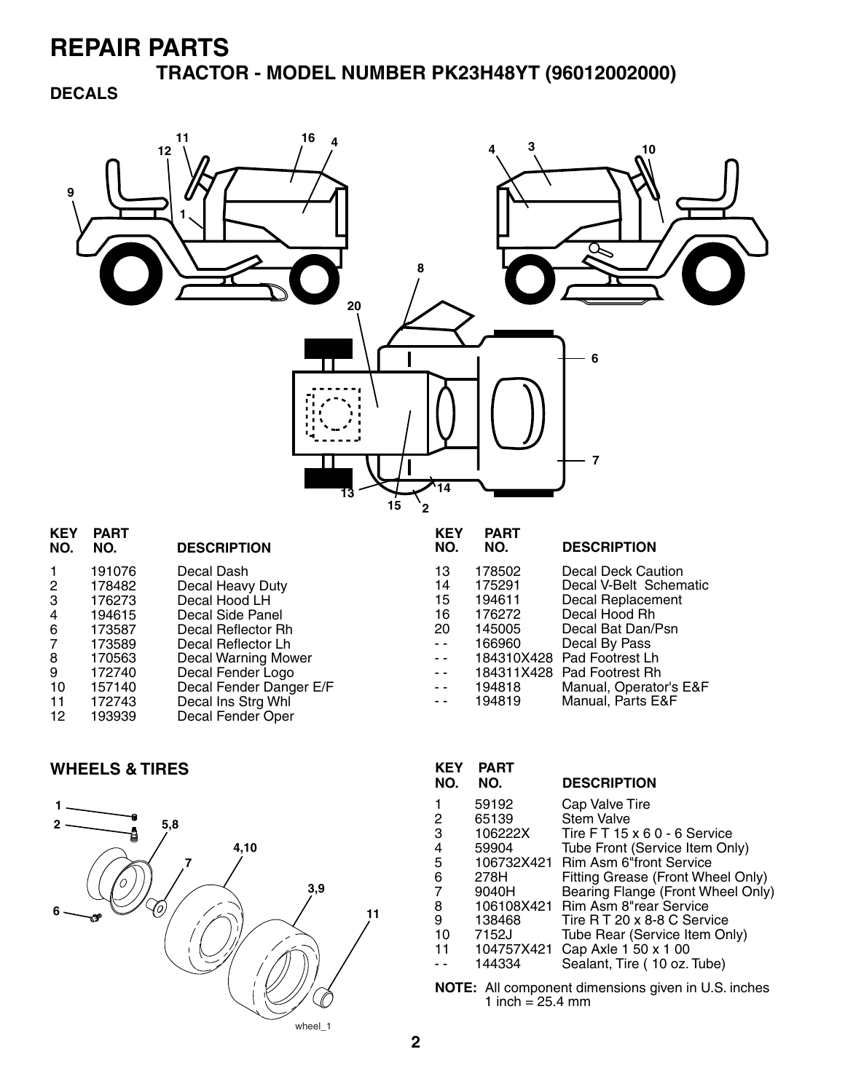**TRACTOR - MODEL NUMBER PK23H48YT (96012002000)**

### **DECALS**



| <b>KEY</b><br>NO. | <b>PART</b><br>NO. | <b>DESCRIPTION</b>      | <b>KEY</b><br>NO.                        | <b>PART</b><br>NO. | <b>DESCRIPTION</b>         |
|-------------------|--------------------|-------------------------|------------------------------------------|--------------------|----------------------------|
| $\mathbf{1}$      | 191076             | Decal Dash              | 13                                       | 178502             | Decal Deck Caution         |
| $\overline{2}$    | 178482             | Decal Heavy Duty        | 14                                       | 175291             | Decal V-Belt Schematic     |
| 3                 | 176273             | Decal Hood LH           | 15                                       | 194611             | Decal Replacement          |
| 4                 | 194615             | Decal Side Panel        | 16                                       | 176272             | Decal Hood Rh              |
| 6                 | 173587             | Decal Reflector Rh      | 20                                       | 145005             | Decal Bat Dan/Psn          |
| 7                 | 173589             | Decal Reflector Lh      | $ -$                                     | 166960             | Decal By Pass              |
| 8                 | 170563             | Decal Warning Mower     | $\sim$ $\sim$                            |                    | 184310X428 Pad Footrest Lh |
| 9                 | 172740             | Decal Fender Logo       | $ -$                                     |                    | 184311X428 Pad Footrest Rh |
| 10                | 157140             | Decal Fender Danger E/F | $\frac{1}{2} \left( \frac{1}{2} \right)$ | 194818             | Manual, Operator's E&F     |
| 11                | 172743             | Decal Ins Strg Whl      | $\sim$ $\sim$                            | 194819             | Manual, Parts E&F          |
| 12                | 193939             | Decal Fender Oper       |                                          |                    |                            |
|                   |                    |                         |                                          |                    |                            |

#### **WHEELS & TIRES**



| <b>KEY</b><br>NO. | <b>PART</b><br>NO. | <b>DESCRIPTION</b>                |
|-------------------|--------------------|-----------------------------------|
|                   | 59192              | Cap Valve Tire                    |
| 2                 | 65139              | <b>Stem Valve</b>                 |
| 3                 | 106222X            | Tire FT 15 x 6 0 - 6 Service      |
| 4                 | 59904              | Tube Front (Service Item Only)    |
| 5                 | 106732X421         | <b>Rim Asm 6"front Service</b>    |
| 6                 | 278H               | Fitting Grease (Front Wheel Only) |
| 7                 | 9040H              | Bearing Flange (Front Wheel Only) |
| 8                 | 106108X421         | Rim Asm 8"rear Service            |
| 9                 | 138468             | Tire R T 20 x 8-8 C Service       |
| 10                | 7152J              | Tube Rear (Service Item Only)     |
| 11                | 104757X421         | Cap Axle 1 50 x 1 00              |
|                   | 144334             | Sealant, Tire (10 oz. Tube)       |

**NOTE:** All component dimensions given in U.S. inches 1 inch = 25.4 mm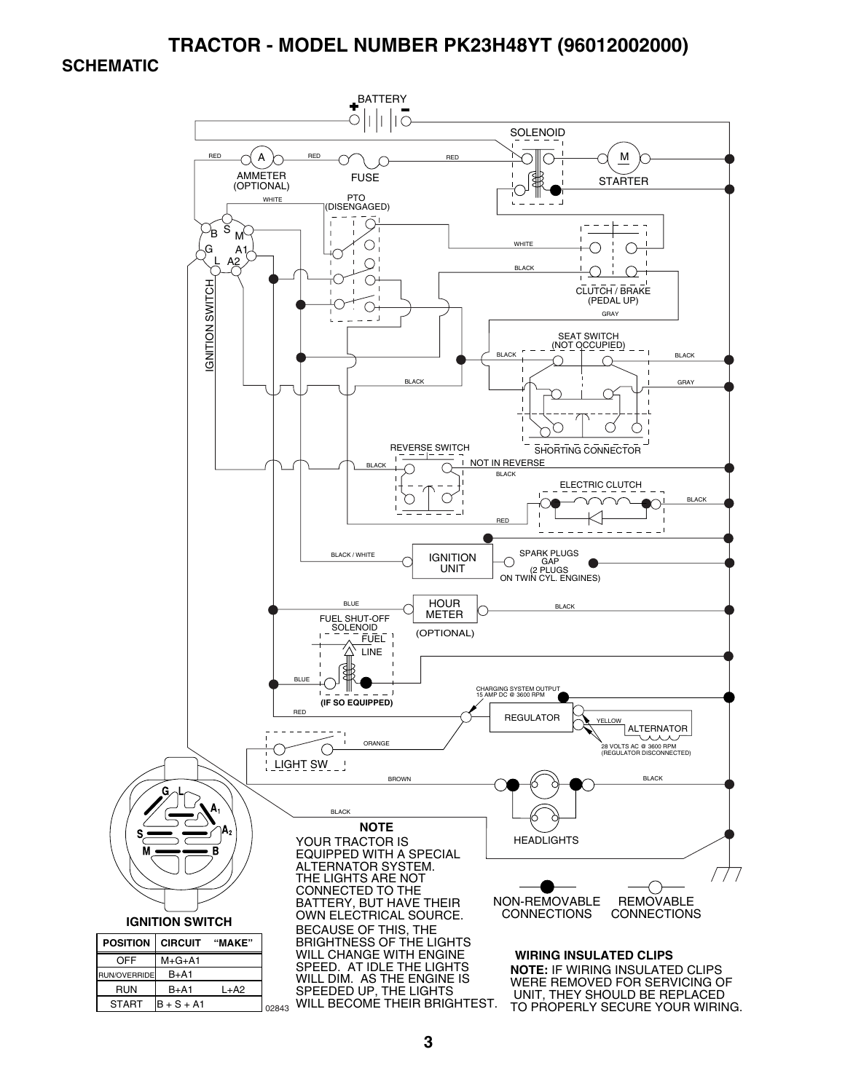#### **TRACTOR - MODEL NUMBER PK23H48YT (96012002000)**

#### **SCHEMATIC**

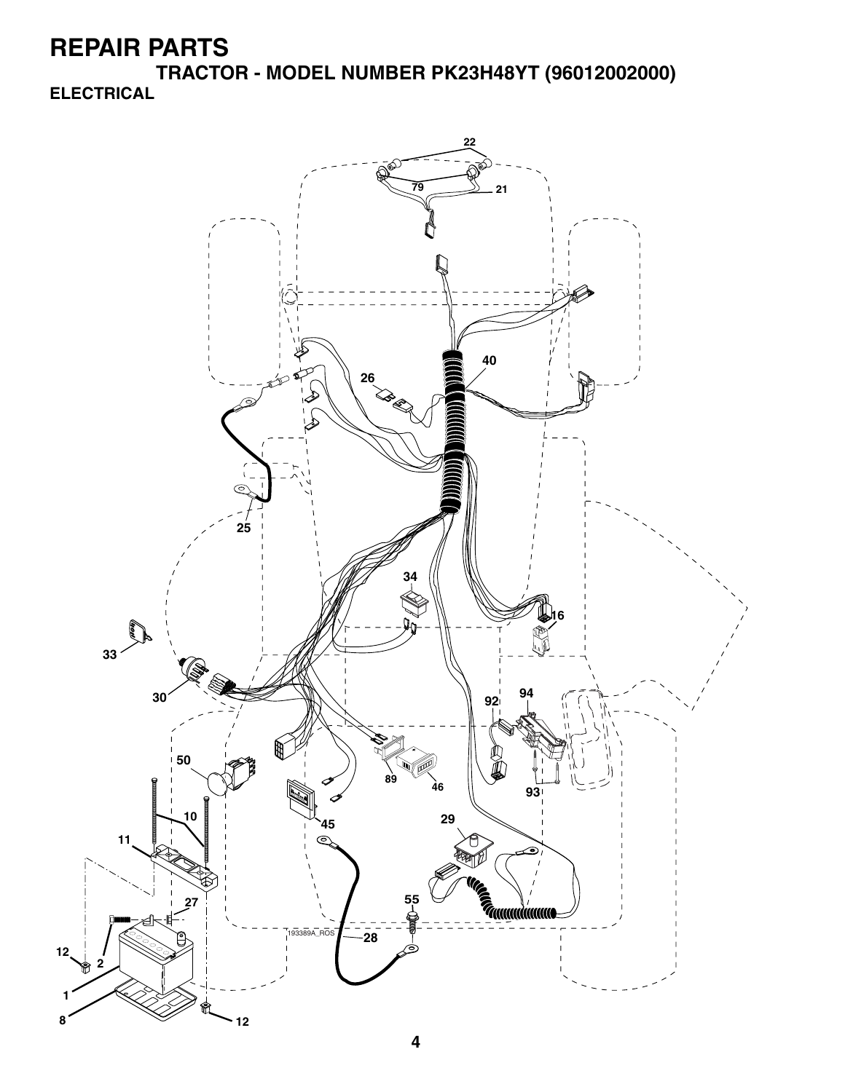**TRACTOR - MODEL NUMBER PK23H48YT (96012002000) ELECTRICAL**

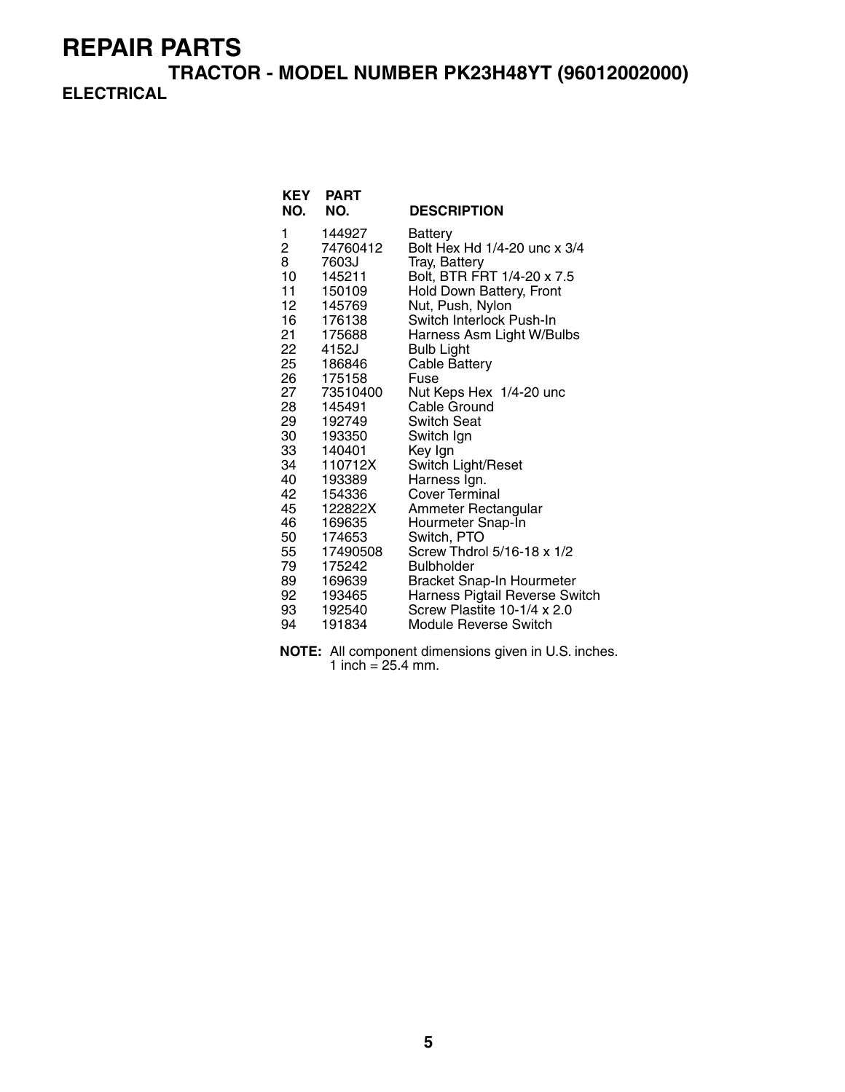**TRACTOR - MODEL NUMBER PK23H48YT (96012002000) ELECTRICAL**

| KEY<br>NO. | PART<br>NO.      | <b>DESCRIPTION</b>             |
|------------|------------------|--------------------------------|
| 1          | 144927           | Battery                        |
| 2          | 74760412         | Bolt Hex Hd 1/4-20 unc x 3/4   |
| 8          | 7603J            | Tray, Battery                  |
| 10         | 145211           | Bolt, BTR FRT 1/4-20 x 7.5     |
| 11         | 150109           | Hold Down Battery, Front       |
| 12         | 145769           | Nut, Push, Nylon               |
| 16         | 176138           | Switch Interlock Push-In       |
| 21         | 175688           | Harness Asm Light W/Bulbs      |
| 22         | 4152J            | <b>Bulb Light</b>              |
| 25         | 186846           | <b>Cable Battery</b>           |
| 26         | 175158           | Fuse                           |
| 27         | 73510400         | Nut Keps Hex 1/4-20 unc        |
| 28<br>29   | 145491<br>192749 | Cable Ground<br>Switch Seat    |
| 30         | 193350           | Switch Ign                     |
| 33         | 140401           | Key Ign                        |
| 34         | 110712X          | Switch Light/Reset             |
| 40         | 193389           | Harness Ign.                   |
| 42         | 154336           | Cover Terminal                 |
| 45         | 122822X          | Ammeter Rectangular            |
| 46         | 169635           | Hourmeter Snap-In              |
| 50         | 174653           | Switch, PTO                    |
| 55         | 17490508         | Screw Thdrol 5/16-18 x 1/2     |
| 79         | 175242           | <b>Bulbholder</b>              |
| 89         | 169639           | Bracket Snap-In Hourmeter      |
| 92         | 193465           | Harness Pigtail Reverse Switch |
| 93         | 192540           | Screw Plastite 10-1/4 x 2.0    |
| 94         | 191834           | Module Reverse Switch          |

**NOTE:** All component dimensions given in U.S. inches. 1 inch =  $25.4$  mm.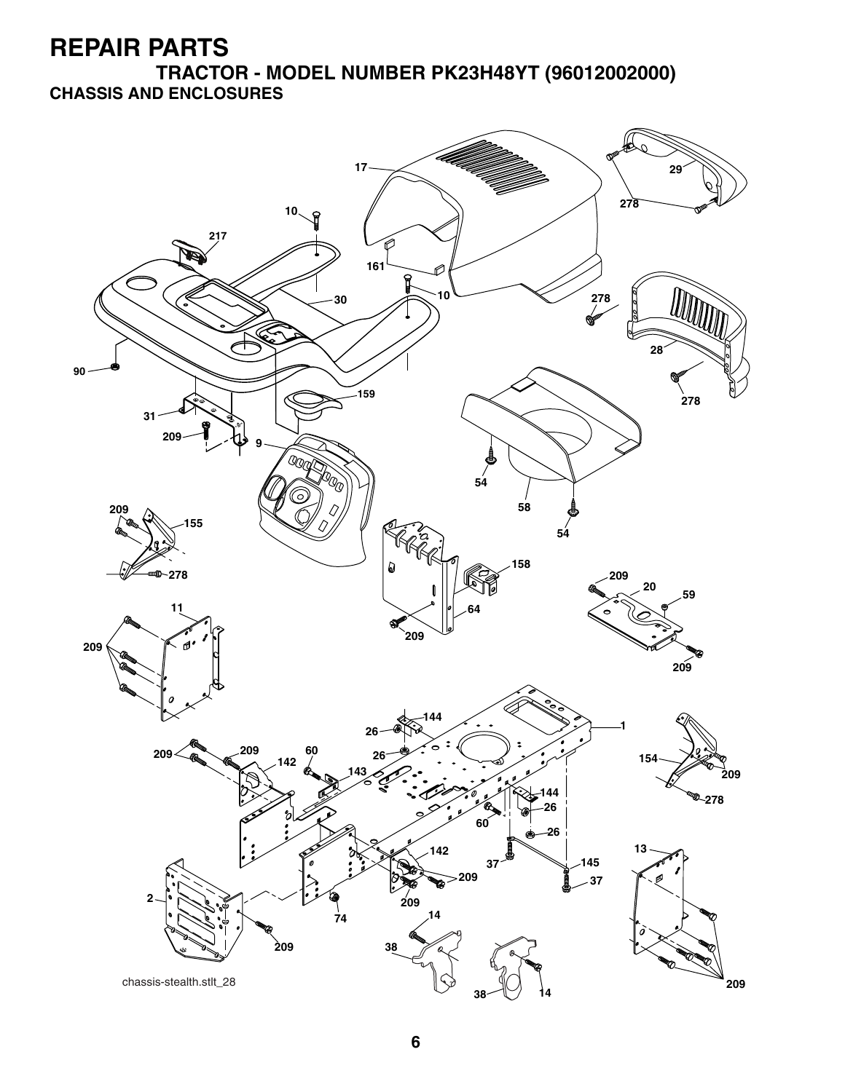**TRACTOR - MODEL NUMBER PK23H48YT (96012002000) CHASSIS AND ENCLOSURES**

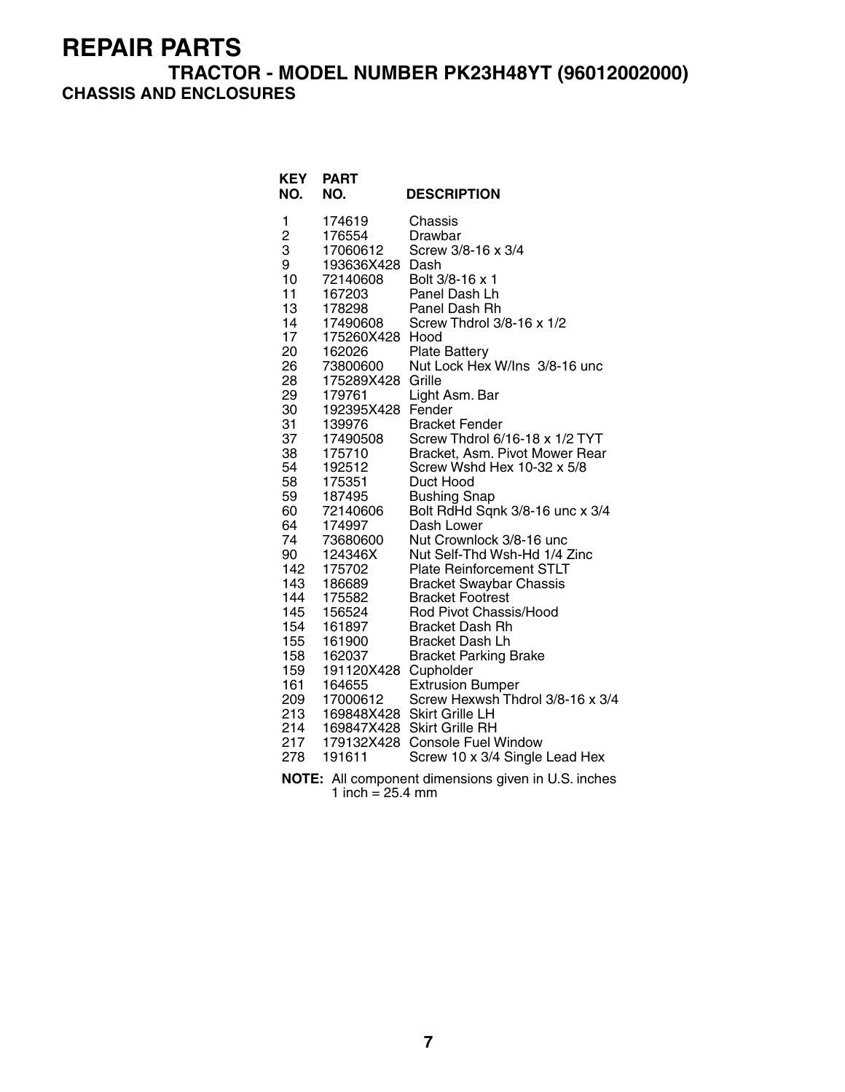#### **TRACTOR - MODEL NUMBER PK23H48YT (96012002000) CHASSIS AND ENCLOSURES**

| <b>KEY</b><br>NO.                                                                                                                                                                                                                                                | <b>PART</b><br>NO.                                                                                                                                                                                                                                                                                                                                                                                   | <b>DESCRIPTION</b>                                                                                                                                                                                                                                                                                                                                                                                                                                                                                                                                                                                                                                                                                                                                                                                                                                                                                                                                                                      |
|------------------------------------------------------------------------------------------------------------------------------------------------------------------------------------------------------------------------------------------------------------------|------------------------------------------------------------------------------------------------------------------------------------------------------------------------------------------------------------------------------------------------------------------------------------------------------------------------------------------------------------------------------------------------------|-----------------------------------------------------------------------------------------------------------------------------------------------------------------------------------------------------------------------------------------------------------------------------------------------------------------------------------------------------------------------------------------------------------------------------------------------------------------------------------------------------------------------------------------------------------------------------------------------------------------------------------------------------------------------------------------------------------------------------------------------------------------------------------------------------------------------------------------------------------------------------------------------------------------------------------------------------------------------------------------|
| 1<br>$\overline{\mathbf{c}}$<br>3<br>9<br>10<br>11<br>13<br>14<br>17<br>20<br>26<br>28<br>29<br>30<br>31<br>37<br>38<br>54<br>58<br>59<br>60<br>64<br>74<br>90<br>142<br>143<br>144<br>145<br>154<br>155<br>158<br>159<br>161<br>209<br>213<br>214<br>217<br>278 | 174619<br>176554<br>17060612<br>193636X428<br>72140608<br>167203<br>178298<br>17490608<br>175260X428 Hood<br>162026<br>73800600<br>175289X428<br>179761<br>192395X428<br>139976<br>17490508<br>175710<br>192512<br>175351<br>187495<br>72140606<br>174997<br>73680600<br>124346X<br>175702<br>186689<br>175582<br>156524<br>161897<br>161900<br>162037<br>191120X428<br>164655<br>17000612<br>191611 | Chassis<br>Drawbar<br>Screw 3/8-16 x 3/4<br>Dash<br>Bolt 3/8-16 x 1<br>Panel Dash Lh<br>Panel Dash Rh<br>Screw Thdrol 3/8-16 x 1/2<br><b>Plate Battery</b><br>Nut Lock Hex W/Ins 3/8-16 unc<br>Grille<br>Light Asm. Bar<br>Fender<br><b>Bracket Fender</b><br>Screw Thdrol 6/16-18 x 1/2 TYT<br>Bracket, Asm. Pivot Mower Rear<br>Screw Wshd Hex 10-32 x 5/8<br>Duct Hood<br><b>Bushing Snap</b><br>Bolt RdHd Sqnk 3/8-16 unc x 3/4<br>Dash Lower<br>Nut Crownlock 3/8-16 unc<br>Nut Self-Thd Wsh-Hd 1/4 Zinc<br><b>Plate Reinforcement STLT</b><br><b>Bracket Swaybar Chassis</b><br><b>Bracket Footrest</b><br>Rod Pivot Chassis/Hood<br><b>Bracket Dash Rh</b><br>Bracket Dash Lh<br><b>Bracket Parking Brake</b><br>Cupholder<br><b>Extrusion Bumper</b><br>Screw Hexwsh Thdrol 3/8-16 x 3/4<br>169848X428 Skirt Grille LH<br>169847X428 Skirt Grille RH<br>179132X428 Console Fuel Window<br>Screw 10 x 3/4 Single Lead Hex<br>NOTE: All component dimensions given in U.S. inches |

1 inch = 25.4 mm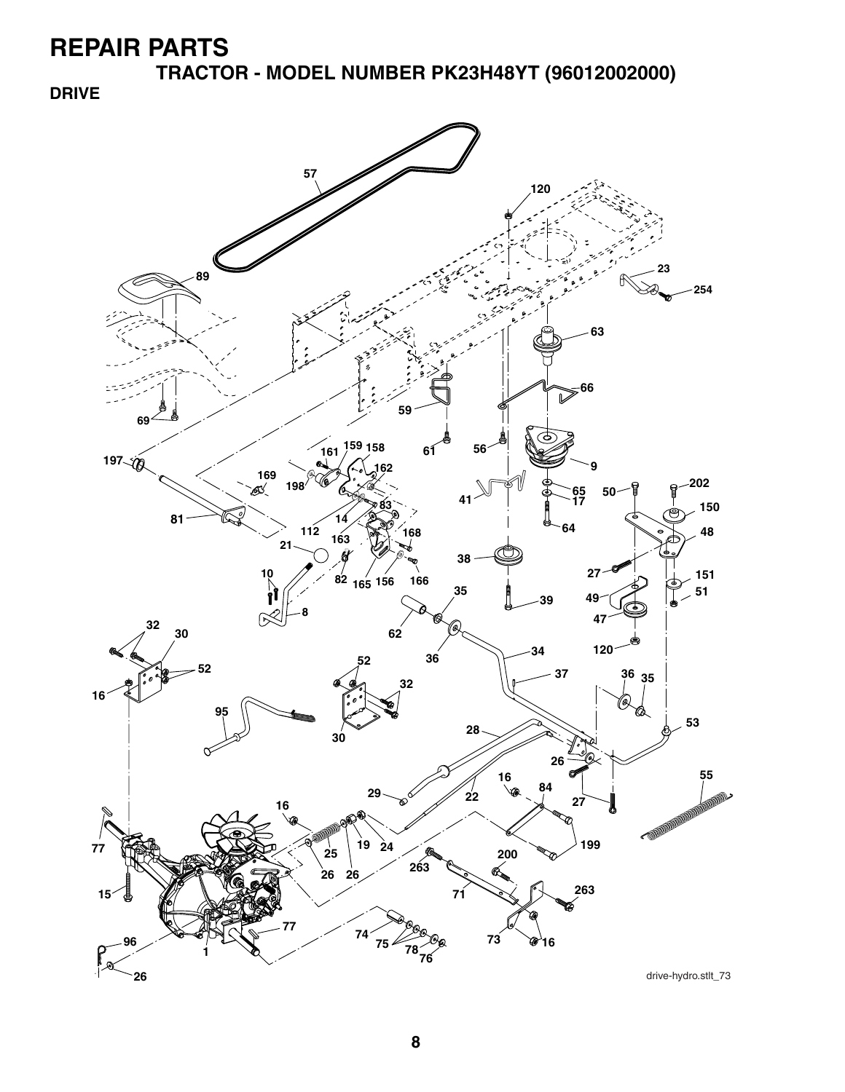**TRACTOR - MODEL NUMBER PK23H48YT (96012002000)**

**DRIVE**

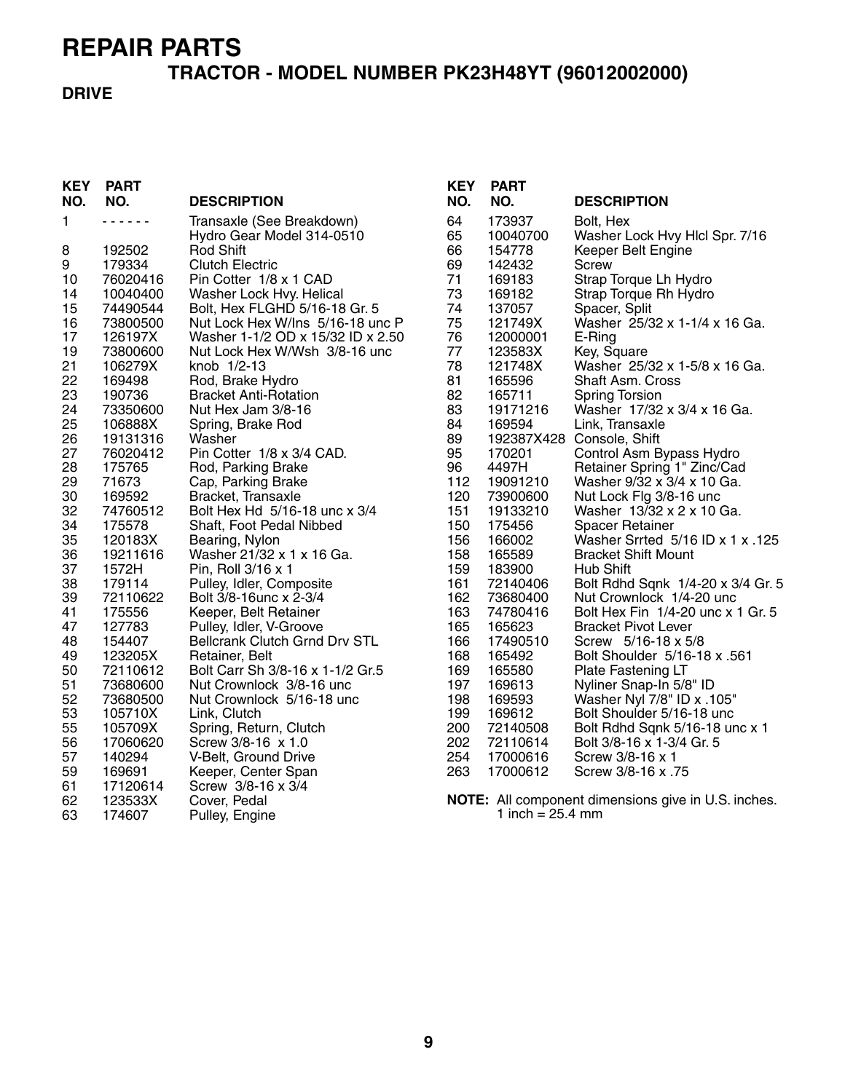# **TRACTOR - MODEL NUMBER PK23H48YT (96012002000)**

#### **DRIVE**

| <b>KEY</b><br>NO. | <b>PART</b><br>NO. | <b>DESCRIPTION</b>                   | <b>KEY</b><br>NO. | <b>PART</b><br>NO.           | <b>DESCRIPTION</b>                                  |
|-------------------|--------------------|--------------------------------------|-------------------|------------------------------|-----------------------------------------------------|
| 1                 | .                  | Transaxle (See Breakdown)            | 64                | 173937                       | Bolt, Hex                                           |
|                   |                    | Hydro Gear Model 314-0510            | 65                | 10040700                     | Washer Lock Hvy Hlcl Spr. 7/16                      |
| 8                 | 192502             | <b>Rod Shift</b>                     | 66                | 154778                       | Keeper Belt Engine                                  |
| 9                 | 179334             | <b>Clutch Electric</b>               | 69                | 142432                       | <b>Screw</b>                                        |
| 10                | 76020416           | Pin Cotter 1/8 x 1 CAD               | 71                | 169183                       | Strap Torque Lh Hydro                               |
| 14                | 10040400           | Washer Lock Hvy. Helical             | 73                | 169182                       | Strap Torque Rh Hydro                               |
| 15                | 74490544           | Bolt, Hex FLGHD 5/16-18 Gr. 5        | 74                | 137057                       | Spacer, Split                                       |
| 16                | 73800500           | Nut Lock Hex W/Ins 5/16-18 unc P     | 75                | 121749X                      | Washer 25/32 x 1-1/4 x 16 Ga.                       |
| 17                | 126197X            | Washer 1-1/2 OD x 15/32 ID x 2.50    | 76                | 12000001                     | E-Ring                                              |
| 19                | 73800600           | Nut Lock Hex W/Wsh 3/8-16 unc        | 77                | 123583X                      | Key, Square                                         |
| 21                | 106279X            | knob 1/2-13                          | 78                | 121748X                      | Washer 25/32 x 1-5/8 x 16 Ga.                       |
| 22                | 169498             | Rod, Brake Hydro                     | 81                | 165596                       | Shaft Asm. Cross                                    |
| 23                | 190736             | <b>Bracket Anti-Rotation</b>         | 82                | 165711                       | <b>Spring Torsion</b>                               |
| 24                | 73350600           | Nut Hex Jam 3/8-16                   | 83                | 19171216                     | Washer 17/32 x 3/4 x 16 Ga.                         |
| 25                | 106888X            | Spring, Brake Rod                    | 84                | 169594                       | Link, Transaxle                                     |
| 26                | 19131316           | Washer                               | 89                |                              | 192387X428 Console, Shift                           |
| 27                | 76020412           | Pin Cotter 1/8 x 3/4 CAD.            | 95                | 170201                       | Control Asm Bypass Hydro                            |
| 28                | 175765             | Rod, Parking Brake                   | 96                | 4497H                        | Retainer Spring 1" Zinc/Cad                         |
| 29                | 71673              | Cap, Parking Brake                   | 112               | 19091210                     | Washer 9/32 x 3/4 x 10 Ga.                          |
| 30                | 169592             | Bracket, Transaxle                   | 120               | 73900600                     | Nut Lock Flg 3/8-16 unc                             |
| 32                | 74760512           | Bolt Hex Hd 5/16-18 unc x 3/4        | 151               | 19133210                     | Washer 13/32 x 2 x 10 Ga.                           |
| 34                | 175578             | Shaft, Foot Pedal Nibbed             | 150               | 175456                       | <b>Spacer Retainer</b>                              |
| 35                | 120183X            | Bearing, Nylon                       | 156               | 166002                       | Washer Srrted 5/16 ID x 1 x .125                    |
| 36                | 19211616           | Washer 21/32 x 1 x 16 Ga.            | 158               | 165589                       | <b>Bracket Shift Mount</b>                          |
| 37                | 1572H              | Pin, Roll 3/16 x 1                   | 159               | 183900                       | Hub Shift                                           |
| 38                | 179114             | Pulley, Idler, Composite             | 161               | 72140406                     | Bolt Rdhd Sqnk 1/4-20 x 3/4 Gr. 5                   |
| 39                | 72110622           | Bolt 3/8-16unc x 2-3/4               | 162               | 73680400                     | Nut Crownlock 1/4-20 unc                            |
| 41                | 175556             | Keeper, Belt Retainer                | 163               | 74780416                     | Bolt Hex Fin 1/4-20 unc x 1 Gr. 5                   |
| 47                | 127783             | Pulley, Idler, V-Groove              | 165               | 165623                       | <b>Bracket Pivot Lever</b>                          |
| 48                | 154407             | <b>Bellcrank Clutch Grnd Drv STL</b> | 166               | 17490510                     | Screw 5/16-18 x 5/8                                 |
| 49                | 123205X            | Retainer, Belt                       | 168               | 165492                       | Bolt Shoulder 5/16-18 x .561                        |
| 50                | 72110612           | Bolt Carr Sh 3/8-16 x 1-1/2 Gr.5     | 169               | 165580                       | Plate Fastening LT                                  |
| 51                | 73680600           | Nut Crownlock 3/8-16 unc             | 197               | 169613                       | Nyliner Snap-In 5/8" ID                             |
| 52                | 73680500           | Nut Crownlock 5/16-18 unc            | 198               | 169593                       | Washer Nyl 7/8" ID x .105"                          |
| 53                | 105710X            | Link, Clutch                         | 199               | 169612                       | Bolt Shoulder 5/16-18 unc                           |
| 55                | 105709X            | Spring, Return, Clutch               | 200               | 72140508                     | Bolt Rdhd Sqnk 5/16-18 unc x 1                      |
| 56                | 17060620           | Screw 3/8-16 x 1.0                   | 202               | 72110614                     | Bolt 3/8-16 x 1-3/4 Gr. 5                           |
| 57                | 140294             | V-Belt, Ground Drive                 | 254               | 17000616                     | Screw 3/8-16 x 1                                    |
| 59                | 169691             | Keeper, Center Span                  | 263               | 17000612                     | Screw 3/8-16 x .75                                  |
| 61                | 17120614           | Screw 3/8-16 x 3/4                   |                   |                              |                                                     |
| 62                | 123533X            | Cover, Pedal                         |                   |                              | NOTE: All component dimensions give in U.S. inches. |
| 63                | 174607             | Pulley, Engine                       |                   | 1 inch = $25.4 \, \text{mm}$ |                                                     |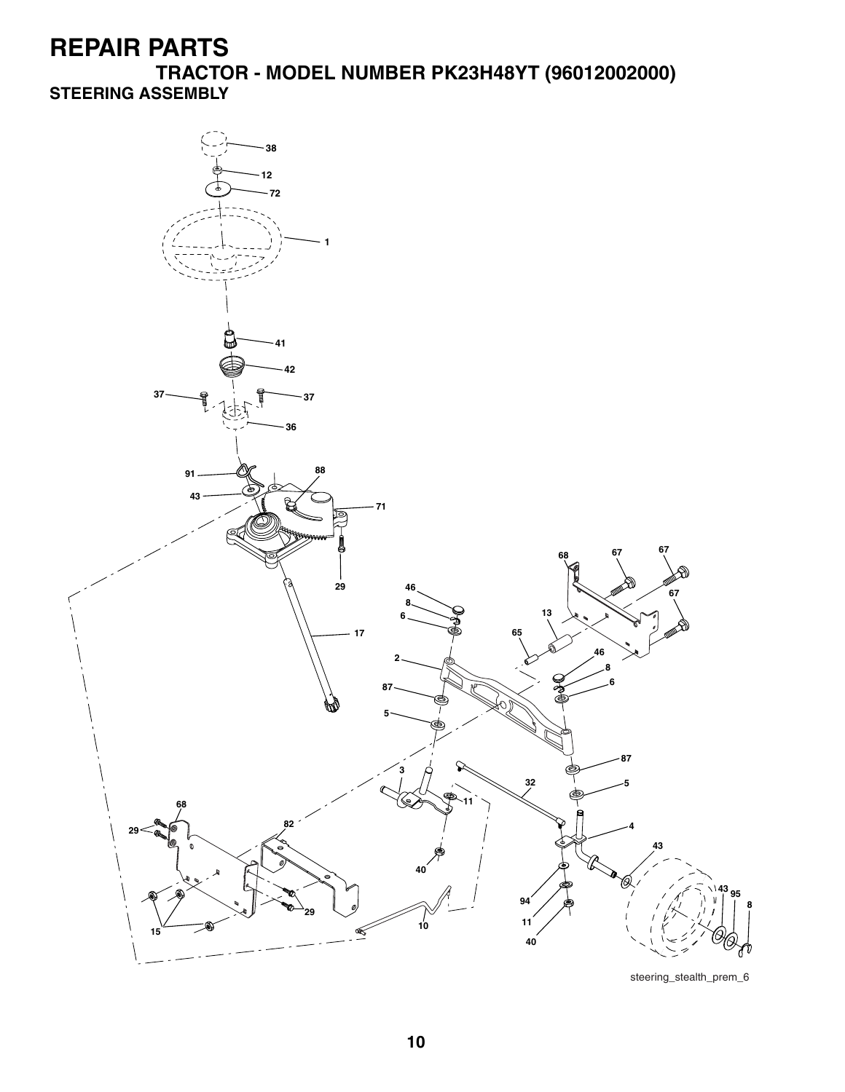**TRACTOR - MODEL NUMBER PK23H48YT (96012002000) STEERING ASSEMBLY**

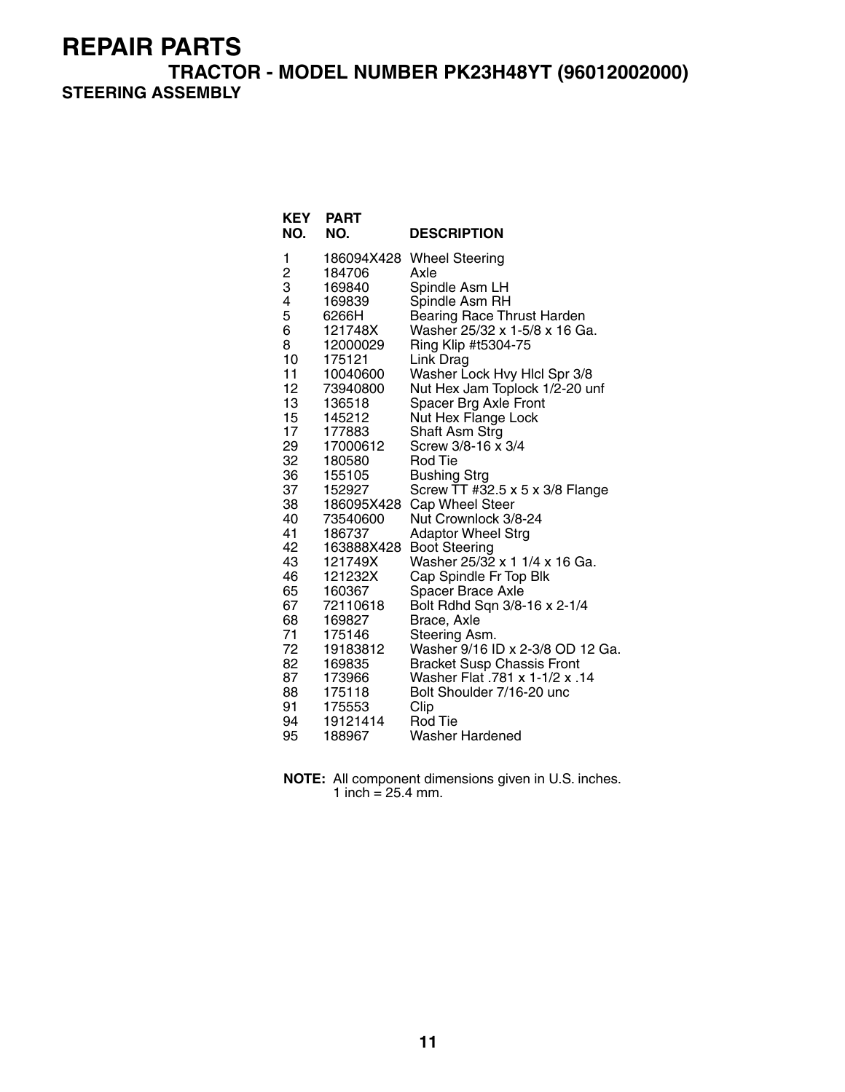**TRACTOR - MODEL NUMBER PK23H48YT (96012002000) STEERING ASSEMBLY**

| <b>KEY</b><br>NO. | <b>PART</b><br>NO. | <b>DESCRIPTION</b>                                                  |
|-------------------|--------------------|---------------------------------------------------------------------|
| 1                 |                    | 186094X428 Wheel Steering                                           |
| $\frac{2}{3}$     | 184706             | Axle                                                                |
|                   | 169840             | Spindle Asm LH                                                      |
| 4                 | 169839             | Spindle Asm RH                                                      |
| 5                 | 6266H              | <b>Bearing Race Thrust Harden</b>                                   |
| 6                 | 121748X            | Washer 25/32 x 1-5/8 x 16 Ga.                                       |
| 8                 | 12000029           | Ring Klip #t5304-75                                                 |
| 10                | 175121             | Link Drag                                                           |
| 11                | 10040600           | Washer Lock Hvy Hlcl Spr 3/8                                        |
| 12                | 73940800           | Nut Hex Jam Toplock 1/2-20 unf                                      |
| 13<br>15          | 136518<br>145212   | Spacer Brg Axle Front<br>Nut Hex Flange Lock                        |
| 17                | 177883             | Shaft Asm Strg                                                      |
| 29                | 17000612           | Screw 3/8-16 x 3/4                                                  |
| 32                | 180580             | Rod Tie                                                             |
| 36                | 155105             | Bushing Strg                                                        |
| 37                | 152927             | Screw TT #32.5 x 5 x 3/8 Flange                                     |
| 38                | 186095X428         | Cap Wheel Steer                                                     |
| 40                | 73540600           | Nut Crownlock 3/8-24                                                |
| 41                | 186737             | <b>Adaptor Wheel Strg</b>                                           |
| 42                | 163888X428         | <b>Boot Steering</b>                                                |
| 43                | 121749X            | Washer 25/32 x 1 1/4 x 16 Ga.                                       |
| 46                | 121232X            | Cap Spindle Fr Top Blk                                              |
| 65                | 160367             | <b>Spacer Brace Axle</b>                                            |
| 67                | 72110618           | Bolt Rdhd Sqn 3/8-16 x 2-1/4                                        |
| 68                | 169827             | Brace, Axle                                                         |
| 71<br>72          | 175146             | Steering Asm.                                                       |
| 82                | 19183812           | Washer 9/16 ID x 2-3/8 OD 12 Ga.                                    |
| 87                | 169835<br>173966   | <b>Bracket Susp Chassis Front</b><br>Washer Flat .781 x 1-1/2 x .14 |
| 88                | 175118             | Bolt Shoulder 7/16-20 unc                                           |
| 91                | 175553             | Clip                                                                |
| 94                | 19121414           | Rod Tie                                                             |
| 95                | 188967             | <b>Washer Hardened</b>                                              |

**NOTE:** All component dimensions given in U.S. inches. 1 inch =  $25.4$  mm.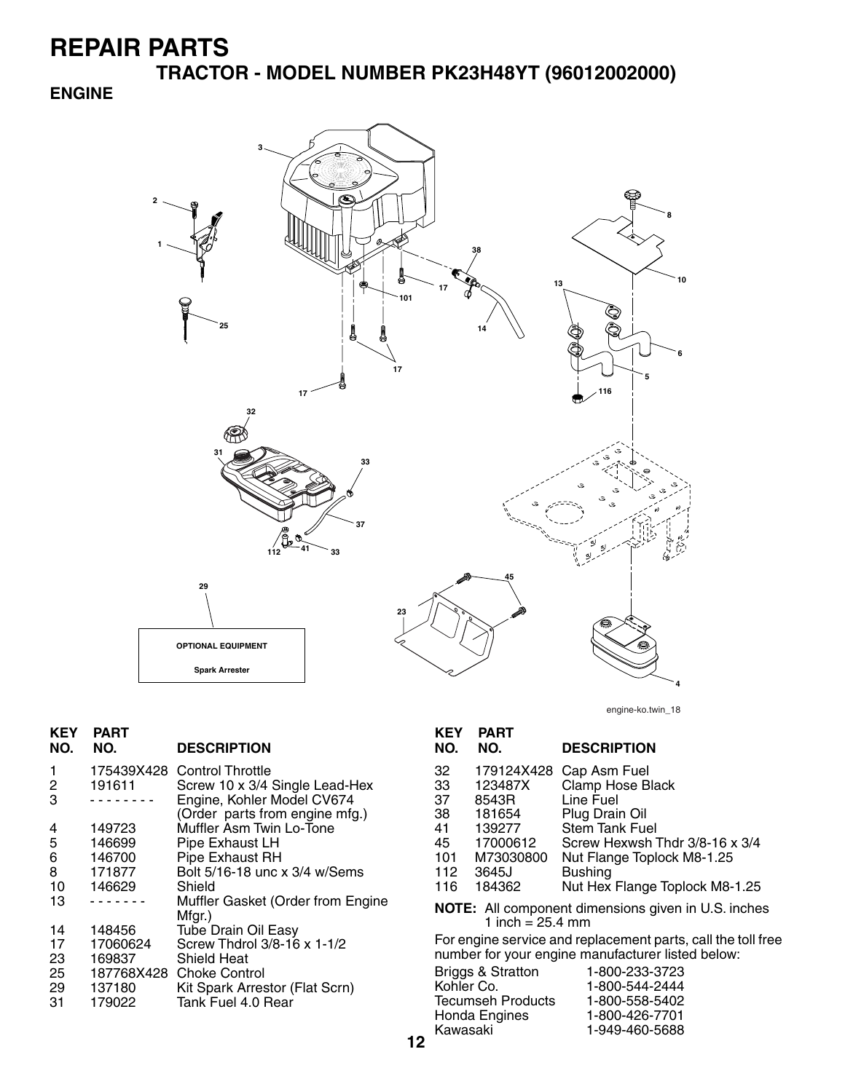**TRACTOR - MODEL NUMBER PK23H48YT (96012002000)**

#### **ENGINE**



engine-ko.twin\_18

| <b>KEY</b><br>NO. | <b>PART</b><br>NO. | <b>DESCRIPTION</b>                          | <b>KEY</b><br>NO. | <b>PART</b><br>NO.         | <b>DESCRIPTION</b>                                           |
|-------------------|--------------------|---------------------------------------------|-------------------|----------------------------|--------------------------------------------------------------|
|                   | 175439X428         | <b>Control Throttle</b>                     | 32                | 179124X428                 | Cap Asm Fuel                                                 |
| 2                 | 191611             | Screw 10 x 3/4 Single Lead-Hex              | 33                | 123487X                    | Clamp Hose Black                                             |
| 3                 | <u>.</u>           | Engine, Kohler Model CV674                  | 37                | 8543R                      | Line Fuel                                                    |
|                   |                    | (Order parts from engine mfg.)              | 38                | 181654                     | Plug Drain Oil                                               |
| 4                 | 149723             | Muffler Asm Twin Lo-Tone                    | 41                | 139277                     | Stem Tank Fuel                                               |
| 5                 | 146699             | Pipe Exhaust LH                             | 45                | 17000612                   | Screw Hexwsh Thdr 3/8-16 x 3/4                               |
| 6                 | 146700             | Pipe Exhaust RH                             | 101               | M73030800                  | Nut Flange Toplock M8-1.25                                   |
| 8                 | 171877             | Bolt 5/16-18 unc x 3/4 w/Sems               | 112               | 3645J                      | <b>Bushing</b>                                               |
| 10                | 146629             | Shield                                      | 116               | 184362                     | Nut Hex Flange Toplock M8-1.25                               |
| 13                | .                  | Muffler Gasket (Order from Engine<br>Mfgr.) |                   | 1 inch = $25.4 \text{ mm}$ | <b>NOTE:</b> All component dimensions given in U.S. inches   |
| 14                | 148456             | <b>Tube Drain Oil Easy</b>                  |                   |                            |                                                              |
| 17                | 17060624           | Screw Thdrol 3/8-16 x 1-1/2                 |                   |                            | For engine service and replacement parts, call the toll free |
| 23                | 169837             | <b>Shield Heat</b>                          |                   |                            | number for your engine manufacturer listed below:            |
| 25                | 187768X428         | <b>Choke Control</b>                        |                   | Briggs & Stratton          | 1-800-233-3723                                               |
| 29                | 137180             | Kit Spark Arrestor (Flat Scrn)              | Kohler Co.        |                            | 1-800-544-2444                                               |
| 31                | 179022             | Tank Fuel 4.0 Rear                          |                   | Tecumseh Products          | 1-800-558-5402                                               |
|                   |                    |                                             |                   | Honda Engines              | 1-800-426-7701                                               |
|                   |                    |                                             | Kawasaki          |                            | 1-949-460-5688                                               |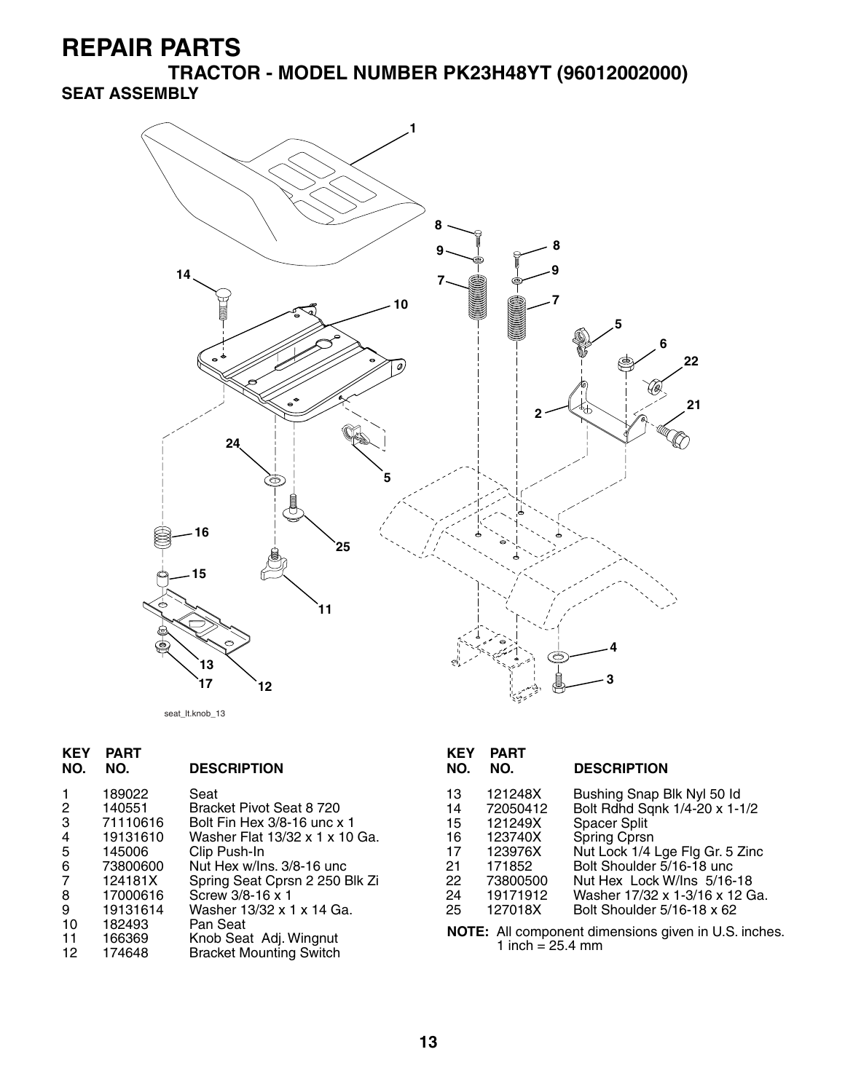**TRACTOR - MODEL NUMBER PK23H48YT (96012002000) SEAT ASSEMBLY**



seat\_lt.knob\_13

| <b>KEY</b><br>NO. | <b>PART</b><br>NO. | <b>DESCRIPTION</b>             | <b>KEY</b><br>NO. | <b>PART</b><br>NO. | <b>DESCRIPTION</b>                                   |  |
|-------------------|--------------------|--------------------------------|-------------------|--------------------|------------------------------------------------------|--|
|                   | 189022             | Seat                           | 13                | 121248X            | Bushing Snap Blk Nyl 50 ld                           |  |
| 2                 | 140551             | Bracket Pivot Seat 8 720       | 14                | 72050412           | Bolt Rdhd Sqnk 1/4-20 x 1-1/2                        |  |
| 3                 | 71110616           | Bolt Fin Hex 3/8-16 unc x 1    | 15                | 121249X            | Spacer Split                                         |  |
| 4                 | 19131610           | Washer Flat 13/32 x 1 x 10 Ga. | 16                | 123740X            | <b>Spring Cprsn</b>                                  |  |
| 5                 | 145006             | Clip Push-In                   | 17                | 123976X            | Nut Lock 1/4 Lge Flg Gr. 5 Zinc                      |  |
| 6                 | 73800600           | Nut Hex w/lns, 3/8-16 unc      | 21                | 171852             | Bolt Shoulder 5/16-18 unc                            |  |
| 7                 | 124181X            | Spring Seat Cprsn 2 250 Blk Zi | 22                | 73800500           | Nut Hex Lock W/Ins 5/16-18                           |  |
| 8                 | 17000616           | Screw 3/8-16 x 1               | 24                | 19171912           | Washer 17/32 x 1-3/16 x 12 Ga.                       |  |
| 9                 | 19131614           | Washer 13/32 x 1 x 14 Ga.      | 25                | 127018X            | Bolt Shoulder 5/16-18 x 62                           |  |
| 10                | 182493             | Pan Seat                       |                   |                    |                                                      |  |
| -11               | 166369             | Knob Seat Adj. Wingnut         |                   |                    | NOTE: All component dimensions given in U.S. inches. |  |
| $\overline{ }$    | 1710.IO            | Duaskat Marrating Cruitale     | 1 inch = 25.4 mm  |                    |                                                      |  |

12 174648 Bracket Mounting Switch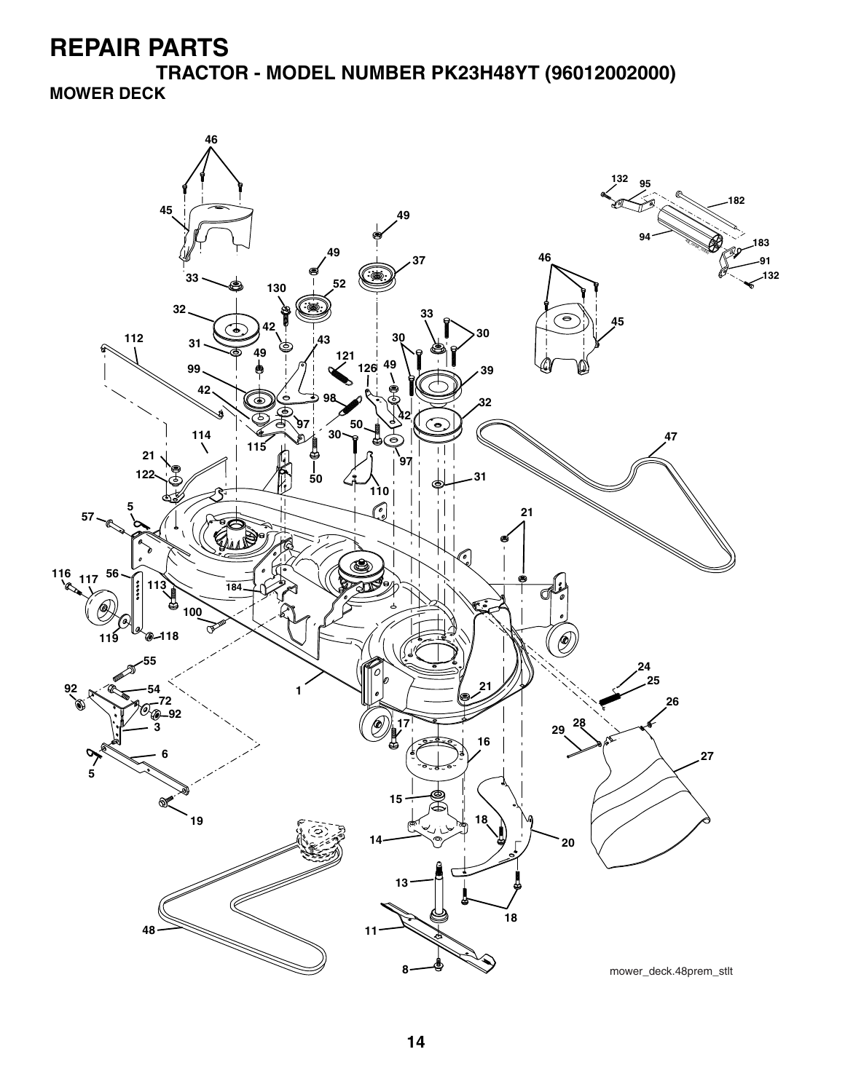**TRACTOR - MODEL NUMBER PK23H48YT (96012002000) MOWER DECK**

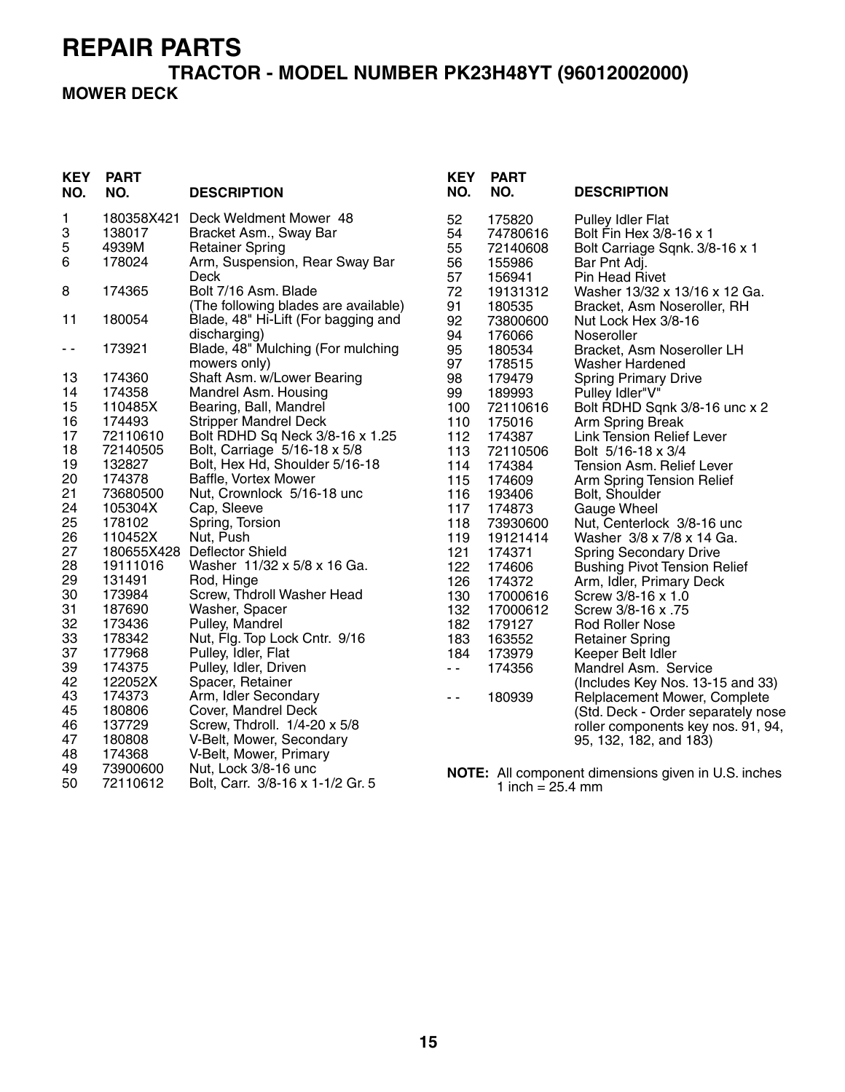#### **TRACTOR - MODEL NUMBER PK23H48YT (96012002000) MOWER DECK**

| KEY<br>NO. | <b>PART</b><br>NO.   | <b>DESCRIPTION</b>                                     | <b>KEY</b><br>NO. | <b>PART</b><br>NO.           | <b>DESCRIPTION</b>                                  |
|------------|----------------------|--------------------------------------------------------|-------------------|------------------------------|-----------------------------------------------------|
| 1<br>3     | 180358X421<br>138017 | Deck Weldment Mower 48<br>Bracket Asm., Sway Bar       | 52<br>54          | 175820<br>74780616           | <b>Pulley Idler Flat</b><br>Bolt Fin Hex 3/8-16 x 1 |
| 5          | 4939M                | <b>Retainer Spring</b>                                 | 55                | 72140608                     | Bolt Carriage Sqnk. 3/8-16 x 1                      |
| 6          | 178024               | Arm, Suspension, Rear Sway Bar                         | 56                | 155986                       | Bar Pnt Adj.                                        |
|            |                      | Deck                                                   | 57                | 156941                       | Pin Head Rivet                                      |
| 8          | 174365               | Bolt 7/16 Asm. Blade                                   | 72                | 19131312                     | Washer 13/32 x 13/16 x 12 Ga.                       |
|            |                      | (The following blades are available)                   | 91                | 180535                       | Bracket, Asm Noseroller, RH                         |
| 11         | 180054               | Blade, 48" Hi-Lift (For bagging and                    | 92                | 73800600                     | Nut Lock Hex 3/8-16                                 |
|            |                      | discharging)                                           | 94                | 176066                       | Noseroller                                          |
| - -        | 173921               | Blade, 48" Mulching (For mulching                      | 95                | 180534                       | Bracket, Asm Noseroller LH                          |
|            |                      | mowers only)                                           | 97                | 178515                       | Washer Hardened                                     |
| 13         | 174360<br>174358     | Shaft Asm. w/Lower Bearing                             | 98                | 179479                       | <b>Spring Primary Drive</b>                         |
| 14<br>15   | 110485X              | Mandrel Asm. Housing<br>Bearing, Ball, Mandrel         | 99<br>100         | 189993<br>72110616           | Pulley Idler"V"                                     |
| 16         | 174493               | <b>Stripper Mandrel Deck</b>                           | 110               | 175016                       | Bolt RDHD Sqnk 3/8-16 unc x 2<br>Arm Spring Break   |
| 17         | 72110610             | Bolt RDHD Sq Neck 3/8-16 x 1.25                        | 112               | 174387                       | <b>Link Tension Relief Lever</b>                    |
| 18         | 72140505             | Bolt, Carriage 5/16-18 x 5/8                           | 113               | 72110506                     | Bolt 5/16-18 x 3/4                                  |
| 19         | 132827               | Bolt, Hex Hd, Shoulder 5/16-18                         | 114               | 174384                       | Tension Asm. Relief Lever                           |
| 20         | 174378               | Baffle, Vortex Mower                                   | 115               | 174609                       | Arm Spring Tension Relief                           |
| 21         | 73680500             | Nut, Crownlock 5/16-18 unc                             | 116               | 193406                       | Bolt, Shoulder                                      |
| 24         | 105304X              | Cap, Sleeve                                            | 117               | 174873                       | Gauge Wheel                                         |
| 25         | 178102               | Spring, Torsion                                        | 118               | 73930600                     | Nut, Centerlock 3/8-16 unc                          |
| 26         | 110452X              | Nut, Push                                              | 119               | 19121414                     | Washer 3/8 x 7/8 x 14 Ga.                           |
| 27<br>28   | 180655X428           | <b>Deflector Shield</b><br>Washer 11/32 x 5/8 x 16 Ga. | 121               | 174371                       | <b>Spring Secondary Drive</b>                       |
| 29         | 19111016<br>131491   | Rod, Hinge                                             | 122<br>126        | 174606<br>174372             | <b>Bushing Pivot Tension Relief</b>                 |
| 30         | 173984               | Screw, Thdroll Washer Head                             | 130               | 17000616                     | Arm, Idler, Primary Deck<br>Screw 3/8-16 x 1.0      |
| 31         | 187690               | Washer, Spacer                                         | 132               | 17000612                     | Screw 3/8-16 x .75                                  |
| 32         | 173436               | Pulley, Mandrel                                        | 182               | 179127                       | Rod Roller Nose                                     |
| 33         | 178342               | Nut, Flg. Top Lock Cntr. 9/16                          | 183               | 163552                       | <b>Retainer Spring</b>                              |
| 37         | 177968               | Pulley, Idler, Flat                                    | 184               | 173979                       | Keeper Belt Idler                                   |
| 39         | 174375               | Pulley, Idler, Driven                                  | $\sim$ $\sim$     | 174356                       | Mandrel Asm. Service                                |
| 42         | 122052X              | Spacer, Retainer                                       |                   |                              | (Includes Key Nos. 13-15 and 33)                    |
| 43         | 174373               | Arm, Idler Secondary                                   | $\sim$ $\sim$     | 180939                       | Relplacement Mower, Complete                        |
| 45         | 180806               | Cover, Mandrel Deck                                    |                   |                              | (Std. Deck - Order separately nose                  |
| 46         | 137729               | Screw, Thdroll. 1/4-20 x 5/8                           |                   |                              | roller components key nos. 91, 94,                  |
| 47         | 180808               | V-Belt, Mower, Secondary                               |                   |                              | 95, 132, 182, and 183)                              |
| 48<br>49   | 174368<br>73900600   | V-Belt, Mower, Primary<br>Nut, Lock 3/8-16 unc         |                   |                              |                                                     |
| 50         | 72110612             | Bolt, Carr. 3/8-16 x 1-1/2 Gr. 5                       |                   | 1 inch = $25.4 \, \text{mm}$ | NOTE: All component dimensions given in U.S. inches |